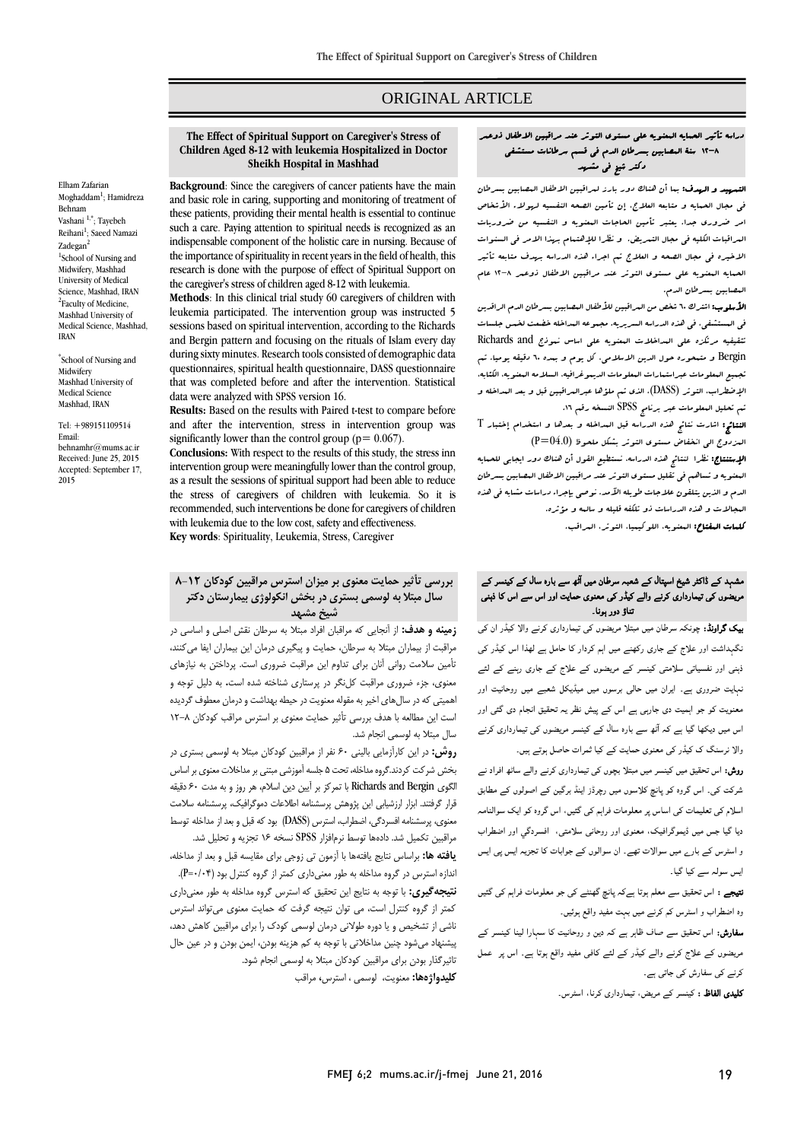# ORIGINAL ARTICLE

#### **The Effect of Spiritual Support on Caregiver's Stress of Children Aged 8-12 with leukemia Hospitalized in Doctor Sheikh Hospital in Mashhad**

Elham Zafarian Moghadda[m](http://fmej.mums.ac.ir/article_7511.html#au1)<sup>1</sup>; Hamidreza Behnam Vashani<sup>[1,\\*](http://fmej.mums.ac.ir/article_7511.html#au1)</sup>; Tayebeh Reiha[ni](http://fmej.mums.ac.ir/article_7511.html#au1)<sup>1</sup>; Saeed Namazi Zadega[n](http://fmej.mums.ac.ir/article_7511.html#au2)<sup>2</sup> 1 School of Nursing and Midwifery, Mashhad University of Medical Science, Mashhad, IRAN <sup>2</sup>Faculty of Medicine, Mashhad University of Medical Science, Mashhad, IRAN

\* School of Nursing and Midwifery Mashhad University of Medical Science Mashhad, IRAN

Tel: +989151109514 Email: behnamhr@mums.ac.ir Received: June 25, 2015 Accepted: September 17, 2015

**Background**: Since the caregivers of cancer patients have the main and basic role in caring, supporting and monitoring of treatment of these patients, providing their mental health is essential to continue such a care. Paying attention to spiritual needs is recognized as an indispensable component of the holistic care in nursing. Because of the importance of spirituality in recent years in the field of health, this research is done with the purpose of effect of Spiritual Support on the caregiver's stress of children aged 8-12 with leukemia.

**Methods**: In this clinical trial study 60 caregivers of children with leukemia participated. The intervention group was instructed 5 sessions based on spiritual intervention, according to the Richards and Bergin pattern and focusing on the rituals of Islam every day during sixty minutes. Research tools consisted of demographic data questionnaires, spiritual health questionnaire, DASS questionnaire that was completed before and after the intervention. Statistical data were analyzed with SPSS version 16.

**Results:** Based on the results with Paired t-test to compare before and after the intervention, stress in intervention group was significantly lower than the control group ( $p = 0.067$ ).

**Conclusions:** With respect to the results of this study, the stress inn intervention group were meaningfully lower than the control group, as a result the sessions of spiritual support had been able to reduce the stress of caregivers of children with leukemia. So it is recommended, such interventions be done for caregivers of children with leukemia due to the low cost, safety and effectiveness. **Key words**: Spirituality, Leukemia, Stress, Caregiver

### **بررسی تأثیر حمایت معنوی بر میزان استرس مراقبین کودکان 8-12 سال مبتال به لوسمی بستری در بخش انکولوژی بیمارستان دکتر شیخ مشهد**

**زمینه و هدف:** از آنجايي كه مراقبان افراد مبتال به سرطان نقش اصلي و اساسي در مراقبت از بيماران مبتال به سرطان، حمايت و پيگيری درمان اين بيماران ايفا ميكنند، تأمين سالمت رواني آنان برای تداوم اين مراقبت ضروری است. پرداختن به نيازهای معنوی، جزء ضروری مراقبت كلنگر در پرستاری شناخته شده است**.** به دليل توجه و اهميتي كه در سالهای اخير به مقوله معنويت در حيطه بهداشت و درمان معطوف گرديده است اين مطالعه با هدف بررسي تأثير حمايت معنوی بر استرس مراقب كودكان 12-8 سال مبتال به لوسمي انجام شد.

**روش:** در اين كارآزمايي باليني 60 نفر از مراقبين كودكان مبتال به لوسمي بستری در بخش شركت كردند.گروه مداخله، تحت 5 جلسه آموزشي مبتني بر مداخالت معنوی بر اساس الگوی Bergin and Richards با تمركز بر آيين دين اسالم، هر روز و به مدت 60 دقيقه قرار گرفتند. ابزار ارزشيابي اين پژوهش پرسشنامه اطالعات دموگرافيک، پرسشنامه سالمت معنوی، پرسشنامه افسردگي، اضطراب، استرس )DASS )بود كه قبل و بعد از مداخله توسط مراقبين تکميل شد. دادهها توسط نرمافزار SPSS نسخه 16 تجزيه و تحليل شد.

**یافته ها:** براساس نتايج يافتهها با آزمون تي زوجي برای مقايسه قبل و بعد از مداخله، اندازه استرس در گروه مداخله به طور معنى دارى كمتر از گروه كنترل بود (P=٠/٠۴).

**نتیجهگیری:** با توجه به نتايج اين تحقيق كه استرس گروه مداخله به طور معنيداری كمتر از گروه كنترل است، مي توان نتيجه گرفت كه حمايت معنوی ميتواند استرس ناشي از تشخيص و يا دوره طوالني درمان لوسمي كودک را برای مراقبين كاهش دهد، پيشنهاد ميشود چنين مداخالتي با توجه به كم هزينه بودن، ايمن بودن و در عين حال تاثيرگذار بودن برای مراقبين كودكان مبتال به لوسمي انجام شود. **کلیدواژهها:** معنويت، لوسمي ، استرس**،** مراقب

### دراسه تأثير الحمايه المعنويه علي مستوي التوتر عند مراقبين االطفال ذوعمر 12-8 سنة المصابين بسرطان الدم في قسم سرطانات مستشفي دكتر شيخ في مشهد

التمهيد و الهدف: بما أن هناك دور بارز لمراقبين االطفال المصابين بسرطان في مجال الحمايه و متابعه العالج، إن تأمين الصحه النفسيه لهوالء األشخاص امر ضروري جدا. يعتبر تأمين الحاجات المعنويه و النفسيه من ضروريات المراقبات الكليه في مجال التمريض. و نظرا لإلهتمام بهذا االمر في السنوات االخيره في مجال الصحه و العالج تم اجراء هذه الدراسه بهدف متابعه تأثير الحمايه المعنويه علي مستوي التوتر عند مراقبين االطفال ذوعمر 12-8 عام المصابين بسرطان الدم.

**الأسلوب:** اشترك ٦٠ شخص من البراقبين للأطفال البصبابين بسرطان الدم الراقدين في المستشفي، في هذه الدراسه السريريه. مجموعه المداخله خضعت لخمس جلسات تثقيفيه مرتكزه على السداخلات البعنويه على اساس نبوذج Richards and Bergin و متمحوره حول الدين االسالمي، كل يوم و بمده 60 دقيقه يوميا. تم تجميع المعلومات عبراستمارات المعلومات الديموغرافيه، السالمه المعنويه، الكئابه، اإلضطراب، التوتر (DASS(، الذي تم ملؤها عبرالمراقبين قبل و بعد المداخله و تم تحليل المعلومات عبر برنامج SPSS النسخه رقم .16

النتائج: اشارت نتائج هذه الدراسه قبل المداخله و بعدها و استخدام إختبار T المزدوج الي انخفاض مستوي التوتر بشكل ملحوظ (04.0=P(

اإلستنتاج: نظرا لنتائج هذه الدراسه، نستطيع القول أن هناك دور ايجابي للحمايه المعنويه و تساهم في تقليل مستوي التوتر عند مراقبين االطفال المصابين بسرطان الدم و الذين يتلقون عالجات طويله اآلمد. نوصي بإجراء دراسات مشابه في هذه المجاالت و هذه الدراسات ذو تلكفه قليله و سالمه و مؤثره.

كلمات المفتاح: المعنويه، اللوكيميا، التوتر، المراقب.

#### مشہد کے ڈاکٹر شیخ اسپتال کے شعبہ سرطان میں ا ٹھ سے بارہ سال کے کینسر کے مریضوں کی تیمارداری کرنے والے کیڈر کی معنوی حمایت اور اس سے اس کا ذہنی تناؤ دور ہونا۔

بیک گراونڈ: چونکہ سرطان میں مبتلا مریضوں کی تیمارداری کرنے والا کیڈر ان کی نگہداشت اور علاج کے جاری رکھنے میں اہم کردار کا حامل ہے لھذا اس کیڈر کی ذہنی اور نفسیاتی سلامتی کینسر کے مریضوں کے علاج کے جاری رہنے کے لئے نہایت ضروری ہے۔ ایران میں حالی برسوں میں میڈیکل شعبے میں روحانیت اور معنویت کو جو اہمیت دی جارہی ہے اس کے پیش نظر یہ تحقیق انجام دی گئی اور اس میں دیکھا گيا ہے کہ ا ٹھ سے بارہ سال کے کینسر مریضوں کی تیمارداری کرنے والا نرسنگ ک کیڈر کی معنوی حمایت کے کیا ثمرات حاصل ہوتے ہیں۔

روش: اس تحقیق میں کینسر میں مبتلا بچوں کی تیمارداری کرنے والے ساٹھ افراد نے شرکت کی۔ اس گروہ کو پانچ کلاسوں میں رچرڈز اینڈ برگين کے اصولوں کے مطابق اسلام کی تعلیمات کی اساس پر معلومات فراہم کی گئيں، اس گروہ کو ایک سوالنامہ دیا گيا جس میں ڈیموگرافیک، معنوی اور روحانی سلامتی، افسردگي اور اضطراب و اسٹرس کے بارے میں سوالات تھے۔ ان سوالوں کے جوابات کا تجزیہ ایس پی ایس ایس سولہ سے کیا گيا۔

نتیجے : اس تحقیق سے معلم ہوتا ہےکہ پانچ گھنٹے کی جو معلومات فراہم کی گئيں وہ اضطراب و اسٹرس کم کرنے میں بہت مفید واقع ہوئیں۔

سفارش: اس تحقیق سے صاف ظاہر ہے کہ دین و روحانیت کا سہارا لینا کینسر کے مریضوں کے علاج کرنے والے کیڈر کے لئے کافی مفید واقع ہوتا ہے۔ اس پر عمل کرنے کی سفارش کی جاتی ہے۔

کلیدی الفاظ : کینسر کے مریض، تیمارداری کرنا، اسٹرس۔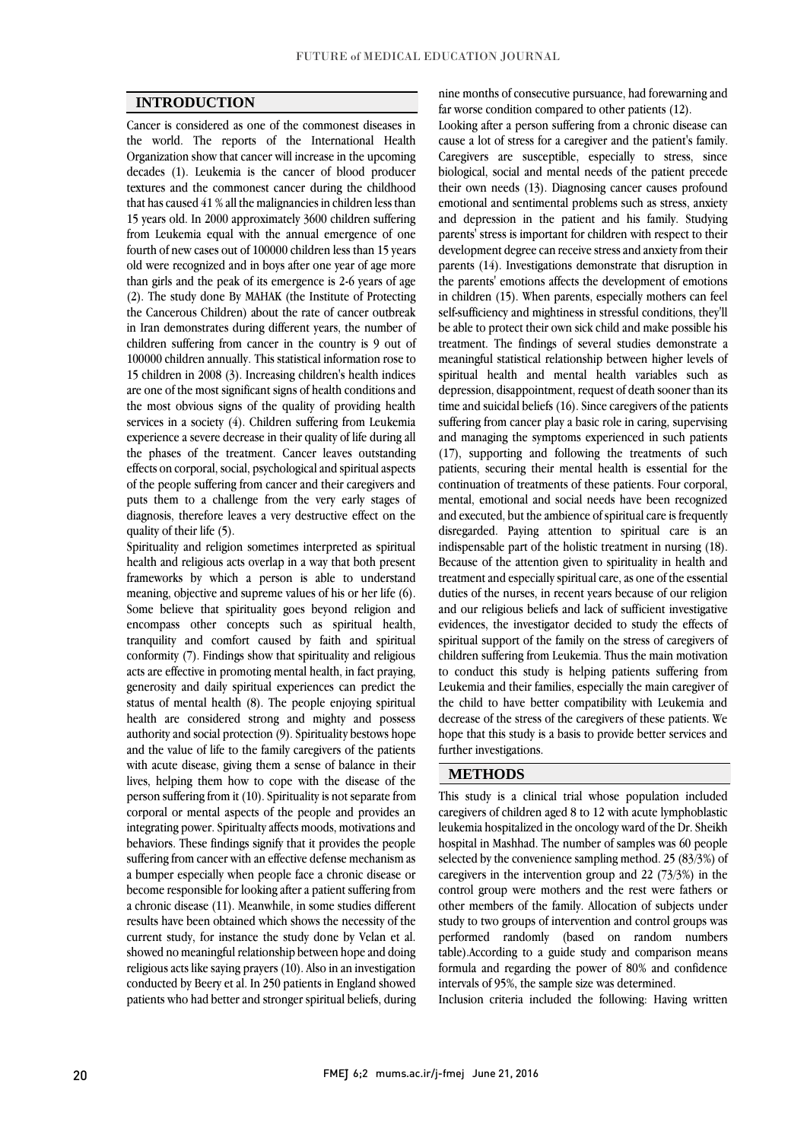## **INTRODUCTION**

Cancer is considered as one of the commonest diseases in the world. The reports of the International Health Organization show that cancer will increase in the upcoming decades (1). Leukemia is the cancer of blood producer textures and the commonest cancer during the childhood that has caused 41 % all the malignancies in children less than 15 years old. In 2000 approximately 3600 children suffering from Leukemia equal with the annual emergence of one fourth of new cases out of 100000 children less than 15 years old were recognized and in boys after one year of age more than girls and the peak of its emergence is 2-6 years of age (2). The study done By MAHAK (the Institute of Protecting the Cancerous Children) about the rate of cancer outbreak in Iran demonstrates during different years, the number of children suffering from cancer in the country is 9 out of 100000 children annually. This statistical information rose to 15 children in 2008 (3). Increasing children's health indices are one of the most significant signs of health conditions and the most obvious signs of the quality of providing health services in a society (4). Children suffering from Leukemia experience a severe decrease in their quality of life during all the phases of the treatment. Cancer leaves outstanding effects on corporal, social, psychological and spiritual aspects of the people suffering from cancer and their caregivers and puts them to a challenge from the very early stages of diagnosis, therefore leaves a very destructive effect on the quality of their life (5).

Spirituality and religion sometimes interpreted as spiritual health and religious acts overlap in a way that both present frameworks by which a person is able to understand meaning, objective and supreme values of his or her life (6). Some believe that spirituality goes beyond religion and encompass other concepts such as spiritual health, tranquility and comfort caused by faith and spiritual conformity (7). Findings show that spirituality and religious acts are effective in promoting mental health, in fact praying, generosity and daily spiritual experiences can predict the status of mental health (8). The people enjoying spiritual health are considered strong and mighty and possess authority and social protection (9). Spirituality bestows hope and the value of life to the family caregivers of the patients with acute disease, giving them a sense of balance in their lives, helping them how to cope with the disease of the person suffering from it (10). Spirituality is not separate from corporal or mental aspects of the people and provides an integrating power. Spiritualty affects moods, motivations and behaviors. These findings signify that it provides the people suffering from cancer with an effective defense mechanism as a bumper especially when people face a chronic disease or become responsible for looking after a patient suffering from a chronic disease (11). Meanwhile, in some studies different results have been obtained which shows the necessity of the current study, for instance the study done by Velan et al. showed no meaningful relationship between hope and doing religious acts like saying prayers (10). Also in an investigation conducted by Beery et al. In 250 patients in England showed patients who had better and stronger spiritual beliefs, during

nine months of consecutive pursuance, had forewarning and far worse condition compared to other patients (12).

Looking after a person suffering from a chronic disease can cause a lot of stress for a caregiver and the patient's family. Caregivers are susceptible, especially to stress, since biological, social and mental needs of the patient precede their own needs (13). Diagnosing cancer causes profound emotional and sentimental problems such as stress, anxiety and depression in the patient and his family. Studying parents' stress is important for children with respect to their development degree can receive stress and anxiety from their parents (14). Investigations demonstrate that disruption in the parents' emotions affects the development of emotions in children (15). When parents, especially mothers can feel self-sufficiency and mightiness in stressful conditions, they'll be able to protect their own sick child and make possible his treatment. The findings of several studies demonstrate a meaningful statistical relationship between higher levels of spiritual health and mental health variables such as depression, disappointment, request of death sooner than its time and suicidal beliefs (16). Since caregivers of the patients suffering from cancer play a basic role in caring, supervising and managing the symptoms experienced in such patients (17), supporting and following the treatments of such patients, securing their mental health is essential for the continuation of treatments of these patients. Four corporal, mental, emotional and social needs have been recognized and executed, but the ambience of spiritual care is frequently disregarded. Paying attention to spiritual care is an indispensable part of the holistic treatment in nursing (18). Because of the attention given to spirituality in health and treatment and especially spiritual care, as one of the essential duties of the nurses, in recent years because of our religion and our religious beliefs and lack of sufficient investigative evidences, the investigator decided to study the effects of spiritual support of the family on the stress of caregivers of children suffering from Leukemia. Thus the main motivation to conduct this study is helping patients suffering from Leukemia and their families, especially the main caregiver of the child to have better compatibility with Leukemia and decrease of the stress of the caregivers of these patients. We hope that this study is a basis to provide better services and further investigations.

## **METHODS**

This study is a clinical trial whose population included caregivers of children aged 8 to 12 with acute lymphoblastic leukemia hospitalized in the oncology ward of the Dr. Sheikh hospital in Mashhad. The number of samples was 60 people selected by the convenience sampling method. 25 (83/3%) of caregivers in the intervention group and 22 (73/3%) in the control group were mothers and the rest were fathers or other members of the family. Allocation of subjects under study to two groups of intervention and control groups was performed randomly (based on random numbers table).According to a guide study and comparison means formula and regarding the power of 80% and confidence intervals of 95%, the sample size was determined.

Inclusion criteria included the following: Having written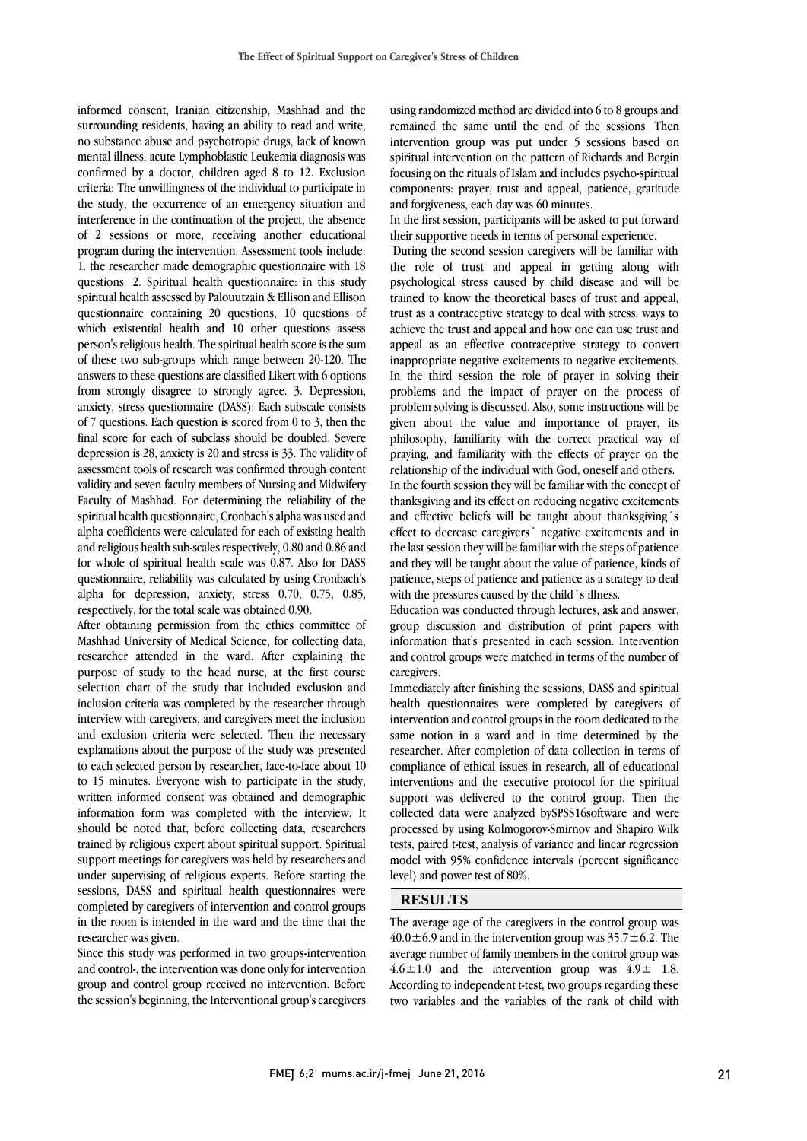informed consent, Iranian citizenship, Mashhad and the surrounding residents, having an ability to read and write, no substance abuse and psychotropic drugs, lack of known mental illness, acute Lymphoblastic Leukemia diagnosis was confirmed by a doctor, children aged 8 to 12. Exclusion criteria: The unwillingness of the individual to participate in the study, the occurrence of an emergency situation and interference in the continuation of the project, the absence of 2 sessions or more, receiving another educational program during the intervention. Assessment tools include: 1. the researcher made demographic questionnaire with 18 questions. 2. Spiritual health questionnaire: in this study spiritual health assessed by Palouutzain & Ellison and Ellison questionnaire containing 20 questions, 10 questions of which existential health and 10 other questions assess person's religious health. The spiritual health score is the sum of these two sub-groups which range between 20-120. The answers to these questions are classified Likert with 6 options from strongly disagree to strongly agree. 3. Depression, anxiety, stress questionnaire (DASS): Each subscale consists of 7 questions. Each question is scored from 0 to 3, then the final score for each of subclass should be doubled. Severe depression is 28, anxiety is 20 and stress is 33. The validity of assessment tools of research was confirmed through content validity and seven faculty members of Nursing and Midwifery Faculty of Mashhad. For determining the reliability of the spiritual health questionnaire, Cronbach's alpha was used and alpha coefficients were calculated for each of existing health and religious health sub-scales respectively, 0.80 and 0.86 and for whole of spiritual health scale was 0.87. Also for DASS questionnaire, reliability was calculated by using Cronbach's alpha for depression, anxiety, stress 0.70, 0.75, 0.85, respectively, for the total scale was obtained 0.90.

After obtaining permission from the ethics committee of Mashhad University of Medical Science, for collecting data, researcher attended in the ward. After explaining the purpose of study to the head nurse, at the first course selection chart of the study that included exclusion and inclusion criteria was completed by the researcher through interview with caregivers, and caregivers meet the inclusion and exclusion criteria were selected. Then the necessary explanations about the purpose of the study was presented to each selected person by researcher, face-to-face about 10 to 15 minutes. Everyone wish to participate in the study, written informed consent was obtained and demographic information form was completed with the interview. It should be noted that, before collecting data, researchers trained by religious expert about spiritual support. Spiritual support meetings for caregivers was held by researchers and under supervising of religious experts. Before starting the sessions, DASS and spiritual health questionnaires were completed by caregivers of intervention and control groups in the room is intended in the ward and the time that the researcher was given.

Since this study was performed in two groups-intervention and control-, the intervention was done only for intervention group and control group received no intervention. Before the session's beginning, the Interventional group's caregivers

using randomized method are divided into 6 to 8 groups and remained the same until the end of the sessions. Then intervention group was put under 5 sessions based on spiritual intervention on the pattern of Richards and Bergin focusing on the rituals of Islam and includes psycho-spiritual components: prayer, trust and appeal, patience, gratitude and forgiveness, each day was 60 minutes.

In the first session, participants will be asked to put forward their supportive needs in terms of personal experience.

During the second session caregivers will be familiar with the role of trust and appeal in getting along with psychological stress caused by child disease and will be trained to know the theoretical bases of trust and appeal, trust as a contraceptive strategy to deal with stress, ways to achieve the trust and appeal and how one can use trust and appeal as an effective contraceptive strategy to convert inappropriate negative excitements to negative excitements. In the third session the role of prayer in solving their problems and the impact of prayer on the process of problem solving is discussed. Also, some instructions will be given about the value and importance of prayer, its philosophy, familiarity with the correct practical way of praying, and familiarity with the effects of prayer on the relationship of the individual with God, oneself and others. In the fourth session they will be familiar with the concept of thanksgiving and its effect on reducing negative excitements and effective beliefs will be taught about thanksgiving´s effect to decrease caregivers´ negative excitements and in the last session they will be familiar with the steps of patience and they will be taught about the value of patience, kinds of patience, steps of patience and patience as a strategy to deal with the pressures caused by the child's illness.

Education was conducted through lectures, ask and answer, group discussion and distribution of print papers with information that's presented in each session. Intervention and control groups were matched in terms of the number of caregivers.

Immediately after finishing the sessions, DASS and spiritual health questionnaires were completed by caregivers of intervention and control groups in the room dedicated to the same notion in a ward and in time determined by the researcher. After completion of data collection in terms of compliance of ethical issues in research, all of educational interventions and the executive protocol for the spiritual support was delivered to the control group. Then the collected data were analyzed bySPSS16software and were processed by using Kolmogorov-Smirnov and Shapiro Wilk tests, paired t-test, analysis of variance and linear regression model with 95% confidence intervals (percent significance level) and power test of 80%.

## **RESULTS**

The average age of the caregivers in the control group was  $40.0 \pm 6.9$  and in the intervention group was  $35.7 \pm 6.2$ . The average number of family members in the control group was  $4.6 \pm 1.0$  and the intervention group was  $4.9 \pm 1.8$ . According to independent t-test, two groups regarding these two variables and the variables of the rank of child with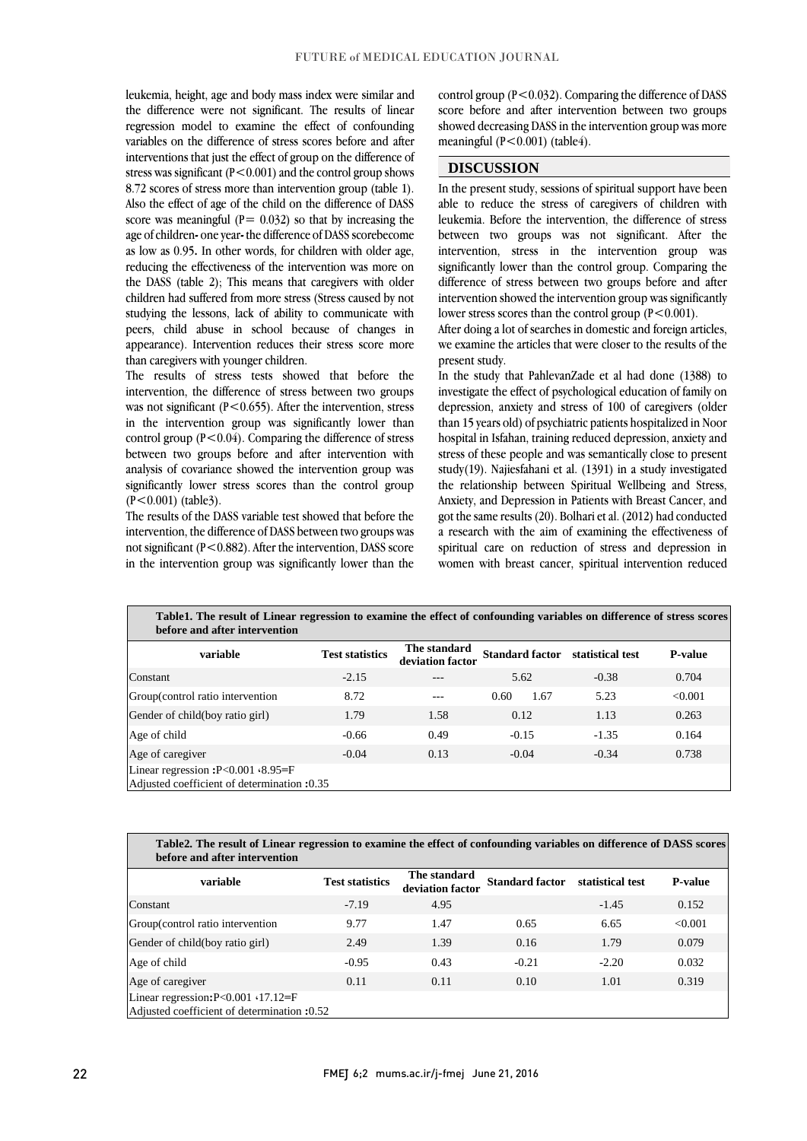leukemia, height, age and body mass index were similar and the difference were not significant. The results of linear regression model to examine the effect of confounding variables on the difference of stress scores before and after interventions that just the effect of group on the difference of stress was significant ( $P < 0.001$ ) and the control group shows 8.72 scores of stress more than intervention group (table 1). Also the effect of age of the child on the difference of DASS score was meaningful ( $P = 0.032$ ) so that by increasing the age of children**-** one year**-** the difference of DASS scorebecome as low as 0.95**.** In other words, for children with older age, reducing the effectiveness of the intervention was more on the DASS (table 2); This means that caregivers with older children had suffered from more stress (Stress caused by not studying the lessons, lack of ability to communicate with peers, child abuse in school because of changes in appearance). Intervention reduces their stress score more than caregivers with younger children.

The results of stress tests showed that before the intervention, the difference of stress between two groups was not significant  $(P<0.655)$ . After the intervention, stress in the intervention group was significantly lower than control group  $(P<0.04)$ . Comparing the difference of stress between two groups before and after intervention with analysis of covariance showed the intervention group was significantly lower stress scores than the control group (P<0.001) (table3).

The results of the DASS variable test showed that before the intervention, the difference of DASS between two groups was not significant (P<0.882). After the intervention, DASS score in the intervention group was significantly lower than the control group  $(P<0.032)$ . Comparing the difference of DASS score before and after intervention between two groups showed decreasing DASS in the intervention group was more meaningful (P<0.001) (table4).

## **DISCUSSION**

In the present study, sessions of spiritual support have been able to reduce the stress of caregivers of children with leukemia. Before the intervention, the difference of stress between two groups was not significant. After the intervention, stress in the intervention group was significantly lower than the control group. Comparing the difference of stress between two groups before and after intervention showed the intervention group was significantly lower stress scores than the control group  $(P<0.001)$ .

After doing a lot of searches in domestic and foreign articles, we examine the articles that were closer to the results of the present study.

In the study that PahlevanZade et al had done (1388) to investigate the effect of psychological education of family on depression, anxiety and stress of 100 of caregivers (older than 15 years old) of psychiatric patients hospitalized in Noor hospital in Isfahan, training reduced depression, anxiety and stress of these people and was semantically close to present study(19). Najiesfahani et al. (1391) in a study investigated the relationship between Spiritual Wellbeing and Stress, Anxiety, and Depression in Patients with Breast Cancer, and got the same results (20). Bolhari et al. (2012) had conducted a research with the aim of examining the effectiveness of spiritual care on reduction of stress and depression in women with breast cancer, spiritual intervention reduced

| Table 1. The result of Linear regression to examine the effect of confounding variables on difference of stress scores<br>before and after intervention |                        |                                  |                        |                  |                |
|---------------------------------------------------------------------------------------------------------------------------------------------------------|------------------------|----------------------------------|------------------------|------------------|----------------|
| variable                                                                                                                                                | <b>Test statistics</b> | The standard<br>deviation factor | <b>Standard factor</b> | statistical test | <b>P-value</b> |
| Constant                                                                                                                                                | $-2.15$                |                                  | 5.62                   | $-0.38$          | 0.704          |
| Group(control ratio intervention                                                                                                                        | 8.72                   |                                  | 0.60<br>1.67           | 5.23             | < 0.001        |
| Gender of child(boy ratio girl)                                                                                                                         | 1.79                   | 1.58                             | 0.12                   | 1.13             | 0.263          |
| Age of child                                                                                                                                            | $-0.66$                | 0.49                             | $-0.15$                | $-1.35$          | 0.164          |
| Age of caregiver                                                                                                                                        | $-0.04$                | 0.13                             | $-0.04$                | $-0.34$          | 0.738          |
| Linear regression: $P < 0.001$ $\cdot 8.95 = F$<br>Adjusted coefficient of determination :0.35                                                          |                        |                                  |                        |                  |                |

| Table 2. The result of Linear regression to examine the effect of confounding variables on difference of DASS scores |  |  |
|----------------------------------------------------------------------------------------------------------------------|--|--|
| before and after intervention                                                                                        |  |  |

| variable                                                                                      | <b>Test statistics</b> | The standard<br>deviation factor | <b>Standard factor</b> | statistical test | <b>P-value</b> |
|-----------------------------------------------------------------------------------------------|------------------------|----------------------------------|------------------------|------------------|----------------|
| Constant                                                                                      | $-7.19$                | 4.95                             |                        | $-1.45$          | 0.152          |
| Group(control ratio intervention                                                              | 9.77                   | 1.47                             | 0.65                   | 6.65             | < 0.001        |
| Gender of child(boy ratio girl)                                                               | 2.49                   | 1.39                             | 0.16                   | 1.79             | 0.079          |
| Age of child                                                                                  | $-0.95$                | 0.43                             | $-0.21$                | $-2.20$          | 0.032          |
| Age of caregiver                                                                              | 0.11                   | 0.11                             | 0.10                   | 1.01             | 0.319          |
| Linear regression: $P < 0.001 \cdot 17.12 = F$<br>Adjusted coefficient of determination :0.52 |                        |                                  |                        |                  |                |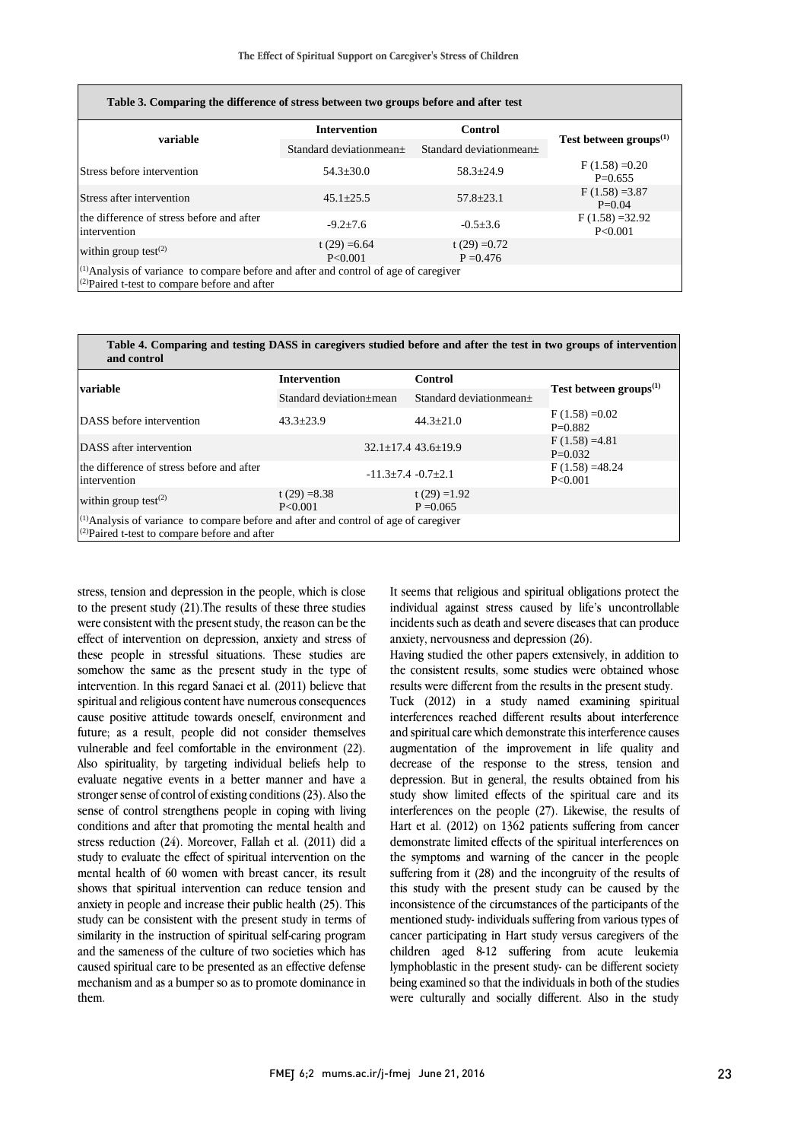| Table 3. Comparing the difference of stress between two groups before and after test                                                               |                            |                                |                               |  |
|----------------------------------------------------------------------------------------------------------------------------------------------------|----------------------------|--------------------------------|-------------------------------|--|
| variable                                                                                                                                           | <b>Intervention</b>        | Control                        |                               |  |
|                                                                                                                                                    | Standard deviationmean±    | Standard deviationmean±        | Test between $groups^{(1)}$   |  |
| Stress before intervention                                                                                                                         | $54.3 \pm 30.0$            | $58.3 \pm 24.9$                | $F(1.58) = 0.20$<br>$P=0.655$ |  |
| Stress after intervention                                                                                                                          | $45.1 \pm 25.5$            | $57.8 \pm 23.1$                | $F(1.58) = 3.87$<br>$P=0.04$  |  |
| the difference of stress before and after<br>intervention                                                                                          | $-9.2+7.6$                 | $-0.5 \pm 3.6$                 | $F(1.58) = 32.92$<br>P<0.001  |  |
| within group test $^{(2)}$                                                                                                                         | t $(29) = 6.64$<br>P<0.001 | t $(29) = 0.72$<br>$P = 0.476$ |                               |  |
| <sup>(1)</sup> Analysis of variance to compare before and after and control of age of caregiver<br>$(2)$ Paired t-test to compare before and after |                            |                                |                               |  |

**Table 4. Comparing and testing DASS in caregivers studied before and after the test in two groups of intervention and control**

| variable                                                                                                                                     | <b>Intervention</b>        | Control                         | Test between $\mathbf{groups}^{(1)}$ |  |  |
|----------------------------------------------------------------------------------------------------------------------------------------------|----------------------------|---------------------------------|--------------------------------------|--|--|
|                                                                                                                                              | Standard deviation±mean    | Standard deviationmean±         |                                      |  |  |
| DASS before intervention                                                                                                                     | $43.3 + 23.9$              | $44.3 + 21.0$                   | $F(1.58) = 0.02$<br>$P=0.882$        |  |  |
| DASS after intervention                                                                                                                      |                            | $32.1 \pm 17.4$ 43.6 $\pm$ 19.9 | $F(1.58) = 4.81$<br>$P=0.032$        |  |  |
| the difference of stress before and after<br>intervention                                                                                    | $-11.3+7.4$ $-0.7+2.1$     |                                 | $F(1.58) = 48.24$<br>P<0.001         |  |  |
| within group test $^{(2)}$                                                                                                                   | t $(29) = 8.38$<br>P<0.001 | t $(29) = 1.92$<br>$P = 0.065$  |                                      |  |  |
| $^{(1)}$ Analysis of variance to compare before and after and control of age of caregiver<br>$(2)$ Paired t-test to compare before and after |                            |                                 |                                      |  |  |

stress, tension and depression in the people, which is close to the present study (21).The results of these three studies were consistent with the present study, the reason can be the effect of intervention on depression, anxiety and stress of these people in stressful situations. These studies are somehow the same as the present study in the type of intervention. In this regard Sanaei et al. (2011) believe that spiritual and religious content have numerous consequences cause positive attitude towards oneself, environment and future; as a result, people did not consider themselves vulnerable and feel comfortable in the environment (22). Also spirituality, by targeting individual beliefs help to evaluate negative events in a better manner and have a stronger sense of control of existing conditions (23). Also the sense of control strengthens people in coping with living conditions and after that promoting the mental health and stress reduction (24). Moreover, Fallah et al. (2011) did a study to evaluate the effect of spiritual intervention on the mental health of 60 women with breast cancer, its result shows that spiritual intervention can reduce tension and anxiety in people and increase their public health (25). This study can be consistent with the present study in terms of similarity in the instruction of spiritual self-caring program and the sameness of the culture of two societies which has caused spiritual care to be presented as an effective defense mechanism and as a bumper so as to promote dominance in them.

It seems that religious and spiritual obligations protect the individual against stress caused by life's uncontrollable incidents such as death and severe diseases that can produce anxiety, nervousness and depression (26).

Having studied the other papers extensively, in addition to the consistent results, some studies were obtained whose results were different from the results in the present study. Tuck (2012) in a study named examining spiritual interferences reached different results about interference and spiritual care which demonstrate this interference causes augmentation of the improvement in life quality and decrease of the response to the stress, tension and depression. But in general, the results obtained from his study show limited effects of the spiritual care and its interferences on the people (27). Likewise, the results of Hart et al. (2012) on 1362 patients suffering from cancer demonstrate limited effects of the spiritual interferences on the symptoms and warning of the cancer in the people suffering from it (28) and the incongruity of the results of this study with the present study can be caused by the inconsistence of the circumstances of the participants of the mentioned study- individuals suffering from various types of cancer participating in Hart study versus caregivers of the children aged 8-12 suffering from acute leukemia lymphoblastic in the present study- can be different society being examined so that the individuals in both of the studies were culturally and socially different. Also in the study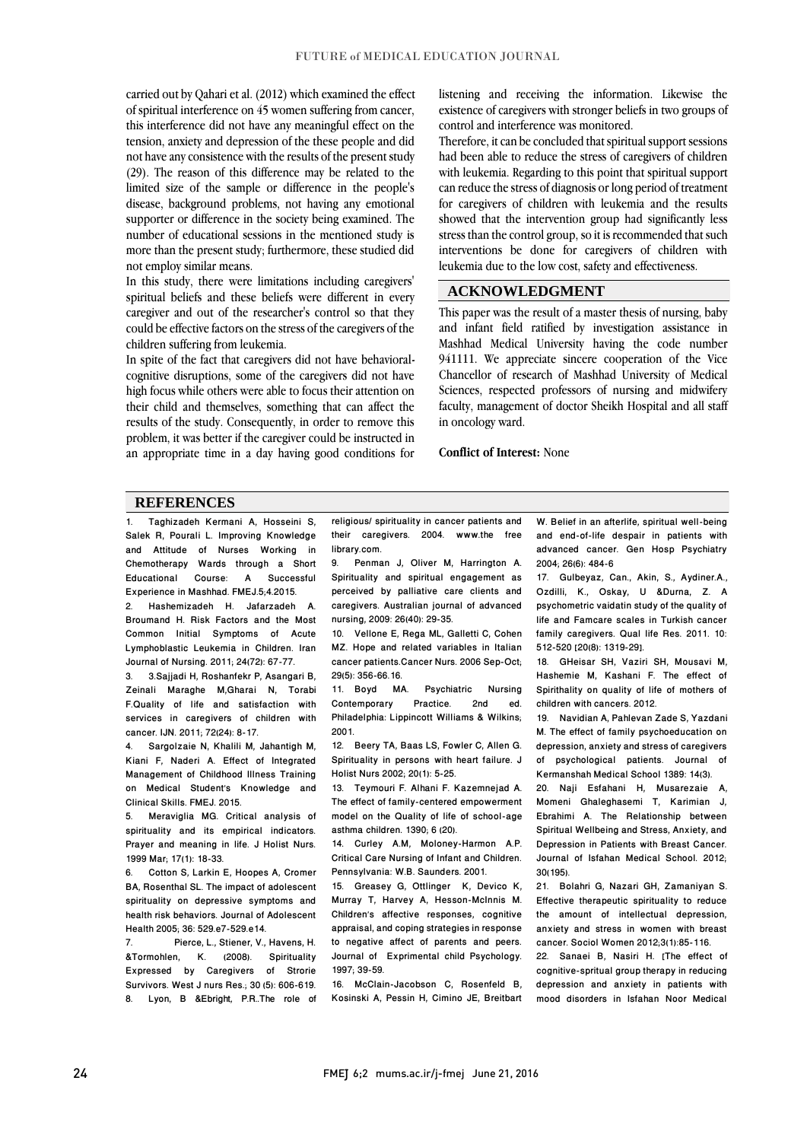carried out by Qahari et al. (2012) which examined the effect of spiritual interference on 45 women suffering from cancer, this interference did not have any meaningful effect on the tension, anxiety and depression of the these people and did not have any consistence with the results of the present study (29). The reason of this difference may be related to the limited size of the sample or difference in the people's disease, background problems, not having any emotional supporter or difference in the society being examined. The number of educational sessions in the mentioned study is more than the present study; furthermore, these studied did not employ similar means.

In this study, there were limitations including caregivers' spiritual beliefs and these beliefs were different in every caregiver and out of the researcher's control so that they could be effective factors on the stress of the caregivers of the children suffering from leukemia.

In spite of the fact that caregivers did not have behavioralcognitive disruptions, some of the caregivers did not have high focus while others were able to focus their attention on their child and themselves, something that can affect the results of the study. Consequently, in order to remove this problem, it was better if the caregiver could be instructed in an appropriate time in a day having good conditions for listening and receiving the information. Likewise the existence of caregivers with stronger beliefs in two groups of control and interference was monitored.

Therefore, it can be concluded that spiritual support sessions had been able to reduce the stress of caregivers of children with leukemia. Regarding to this point that spiritual support can reduce the stress of diagnosis or long period of treatment for caregivers of children with leukemia and the results showed that the intervention group had significantly less stress than the control group, so it is recommended that such interventions be done for caregivers of children with leukemia due to the low cost, safety and effectiveness.

### **ACKNOWLEDGMENT**

This paper was the result of a master thesis of nursing, baby and infant field ratified by investigation assistance in Mashhad Medical University having the code number 941111. We appreciate sincere cooperation of the Vice Chancellor of research of Mashhad University of Medical Sciences, respected professors of nursing and midwifery faculty, management of doctor Sheikh Hospital and all staff in oncology ward.

#### **Conflict of Interest:** None

#### **REFERENCES**

1. Taghizadeh Kermani A, Hosseini S, Salek R, Pourali L. Improving Knowledge and Attitude of Nurses Working in Chemotherapy Wards through a Short<br>Educational Course: A Successful Educational Experience in Mashhad. FMEJ.5;4.2015. 2. Hashemizadeh H. Jafarzadeh A. Broumand H. Risk Factors and the Most

Common Initial Symptoms of Acute Lymphoblastic Leukemia in Children. Iran Journal of Nursing. 2011; 24(72): 67-77.

3. 3.Sajjadi H, Roshanfekr P, Asangari B, Zeinali Maraghe M,Gharai N, Torabi F.Quality of life and satisfaction with services in caregivers of children with cancer. IJN. 2011; 72(24): 8-17.

4. Sargolzaie N, Khalili M, Jahantigh M, Kiani F, Naderi A. Effect of Integrated Management of Childhood Illness Training on Medical Student's Knowledge and Clinical Skills. FMEJ. 2015.

5. Meraviglia MG. Critical analysis of spirituality and its empirical indicators. Prayer and meaning in life. J Holist Nurs. 1999 Mar; 17(1): 18-33.

6. Cotton S, Larkin E, Hoopes A, Cromer BA, Rosenthal SL. The impact of adolescent spirituality on depressive symptoms and health risk behaviors. Journal of Adolescent Health 2005; 36: 529.e7-529.e14.

Pierce, L., Stiener, V., Havens, H. &Tormohlen, K. (2008). Spirituality Expressed by Caregivers of Strorie Survivors. West J nurs Res.; 30 (5): 606-619. 8. Lyon, B &Ebright, P.R..The role of religious/ spirituality in cancer patients and their caregivers. 2004. www.the free library.com.<br>9 Penma

9. Penman J, Oliver M, Harrington A. Spirituality and spiritual engagement as perceived by palliative care clients and caregivers. Australian journal of advanced nursing, 2009: 26(40): 29-35.

10. Vellone E, Rega ML, Galletti C, Cohen MZ. Hope and related variables in Italian cancer patients.Cancer Nurs. 2006 Sep-Oct; 29(5): 356-66.16.

11. Boyd MA. Psychiatric Nursing<br>Contemporary Practice. 2nd ed. Contemporary Philadelphia: Lippincott Williams & Wilkins; 2001.

12. Beery TA, Baas LS, Fowler C, Allen G. Spirituality in persons with heart failure. J Holist Nurs 2002; 20(1): 5-25.

13. Teymouri F. Alhani F. Kazemnejad A. The effect of family-centered empowerment model on the Quality of life of school-age asthma children. 1390; 6 (20).

14. Curley A.M, Moloney-Harmon A.P. Critical Care Nursing of Infant and Children. Pennsylvania: W.B. Saunders. 2001.

15. Greasey G, Ottlinger K, Devico K, Murray T, Harvey A, Hesson-McInnis M. Children's affective responses, cognitive appraisal, and coping strategies in response to negative affect of parents and peers. Journal of Exprimental child Psychology. 1997; 39-59.

16. McClain-Jacobson C, Rosenfeld B, Kosinski A, Pessin H, Cimino JE, Breitbart W. Belief in an afterlife, spiritual well-being and end-of-life despair in patients with advanced cancer. Gen Hosp Psychiatry 2004; 26(6): 484-6

17. Gulbeyaz, Can., Akin, S., Aydiner.A., Ozdilli, K., Oskay, U &Durna, Z. A psychometric vaidatin study of the quality of life and Famcare scales in Turkish cancer family caregivers. Qual life Res. 2011. 10: 512-520 [20(8): 1319-29].

18. GHeisar SH, Vaziri SH, Mousavi M, Hashemie M, Kashani F. The effect of Spirithality on quality of life of mothers of children with cancers. 2012.

19. Navidian A, Pahlevan Zade S, Yazdani M. The effect of family psychoeducation on depression, anxiety and stress of caregivers of psychological patients. Journal of Kermanshah Medical School 1389: 14(3).

20. Naji Esfahani H, Musarezaie A, Momeni Ghaleghasemi T, Karimian J, Ebrahimi A. The Relationship between Spiritual Wellbeing and Stress, Anxiety, and Depression in Patients with Breast Cancer. Journal of Isfahan Medical School. 2012; 30(195).

21. Bolahri G, Nazari GH, Zamaniyan S. Effective therapeutic spirituality to reduce the amount of intellectual depression, anxiety and stress in women with breast cancer. Sociol Women 2012;3(1):85-116.

22. Sanaei B, Nasiri H. [The effect of cognitive-spritual group therapy in reducing depression and anxiety in patients with mood disorders in Isfahan Noor Medical